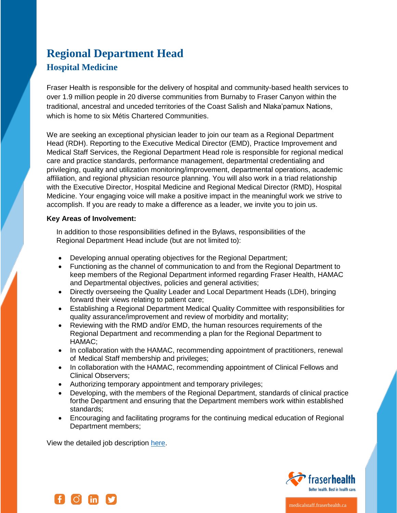# **Regional Department Head Hospital Medicine**

Fraser Health is responsible for the delivery of hospital and community-based health services to over 1.9 million people in 20 diverse communities from Burnaby to Fraser Canyon within the traditional, ancestral and unceded territories of the Coast Salish and Nlaka'pamux Nations, which is home to six Métis Chartered Communities.

We are seeking an exceptional physician leader to join our team as a Regional Department Head (RDH). Reporting to the Executive Medical Director (EMD), Practice Improvement and Medical Staff Services, the Regional Department Head role is responsible for regional medical care and practice standards, performance management, departmental credentialing and privileging, quality and utilization monitoring/improvement, departmental operations, academic affiliation, and regional physician resource planning. You will also work in a triad relationship with the Executive Director, Hospital Medicine and Regional Medical Director (RMD), Hospital Medicine. Your engaging voice will make a positive impact in the meaningful work we strive to accomplish. If you are ready to make a difference as a leader, we invite you to join us.

## **Key Areas of Involvement:**

In addition to those responsibilities defined in the Bylaws, responsibilities of the Regional Department Head include (but are not limited to):

- Developing annual operating objectives for the Regional Department;
- Functioning as the channel of communication to and from the Regional Department to keep members of the Regional Department informed regarding Fraser Health, HAMAC and Departmental objectives, policies and general activities;
- Directly overseeing the Quality Leader and Local Department Heads (LDH), bringing forward their views relating to patient care;
- Establishing a Regional Department Medical Quality Committee with responsibilities for quality assurance/improvement and review of morbidity and mortality;
- Reviewing with the RMD and/or EMD, the human resources requirements of the Regional Department and recommending a plan for the Regional Department to HAMAC;
- In collaboration with the HAMAC, recommending appointment of practitioners, renewal of Medical Staff membership and privileges;
- In collaboration with the HAMAC, recommending appointment of Clinical Fellows and Clinical Observers;
- Authorizing temporary appointment and temporary privileges;
- Developing, with the members of the Regional Department, standards of clinical practice forthe Department and ensuring that the Department members work within established standards;
- Encouraging and facilitating programs for the continuing medical education of Regional Department members;

View the detailed job description [here.](http://medicalstaff.fraserhealth.ca/getmedia/fc9d2b1d-6c7d-462d-88b8-c6017107fa25/Regional-Department-Head_1.pdf.aspx/)





medicalstaff.fraserhealth.ca